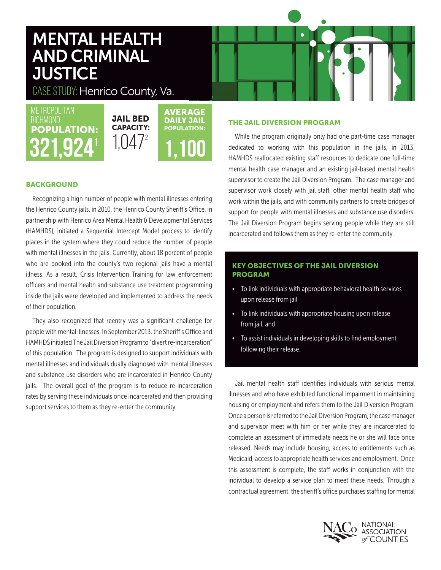# MENTAL HEALTH AND CRIMINAL **JUSTICE**

CASE STUDY: Henrico County, Va.

**METROPOLITAN RICHMOND** POPULATION:

# JAIL BED CAPACITY:  $321,924$ <sup>1</sup>,047<sup>2</sup> 1,100 AVERAGE DAILY JAIL POPULATION:

## **BACKGROUND**

Recognizing a high number of people with mental illnesses entering the Henrico County jails, in 2010, the Henrico County Sheriff's Office, in partnership with Henrico Area Mental Health & Developmental Services (HAMHDS), initiated a Sequential Intercept Model process to identify places in the system where they could reduce the number of people with mental illnesses in the jails. Currently, about 18 percent of people who are booked into the county's two regional jails have a mental illness. As a result, Crisis Intervention Training for law enforcement officers and mental health and substance use treatment programming inside the jails were developed and implemented to address the needs of their population.

They also recognized that reentry was a significant challenge for people with mental illnesses. In September 2013, the Sheriff's Office and HAMHDS initiated The Jail Diversion Program to "divert re-incarceration" of this population. The program is designed to support individuals with mental illnesses and individuals dually diagnosed with mental illnesses and substance use disorders who are incarcerated in Henrico County jails. The overall goal of the program is to reduce re-incarceration rates by serving these individuals once incarcerated and then providing support services to them as they re-enter the community.

### THE JAIL DIVERSION PROGRAM

While the program originally only had one part-time case manager dedicated to working with this population in the jails, in 2013, HAMHDS reallocated existing staff resources to dedicate one full-time mental health case manager and an existing jail-based mental health supervisor to create the Jail Diversion Program. The case manager and supervisor work closely with jail staff, other mental health staff who work within the jails, and with community partners to create bridges of support for people with mental illnesses and substance use disorders. The Jail Diversion Program begins serving people while they are still incarcerated and follows them as they re-enter the community.

### KEY OBJECTIVES OF THE JAIL DIVERSION PROGRAM

- To link individuals with appropriate behavioral health services upon release from jail
- To link individuals with appropriate housing upon release from jail, and
- To assist individuals in developing skills to find employment following their release.

Jail mental health staff identifies individuals with serious mental illnesses and who have exhibited functional impairment in maintaining housing or employment and refers them to the Jail Diversion Program. Once a person is referred to the Jail Diversion Program, the case manager and supervisor meet with him or her while they are incarcerated to complete an assessment of immediate needs he or she will face once released. Needs may include housing, access to entitlements such as Medicaid, access to appropriate health services and employment. Once this assessment is complete, the staff works in conjunction with the individual to develop a service plan to meet these needs. Through a contractual agreement, the sheriff's office purchases staffing for mental